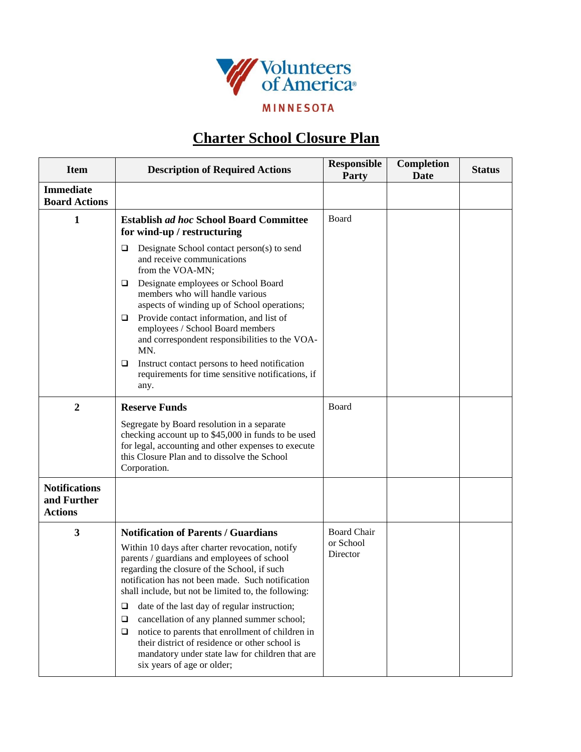

## **Charter School Closure Plan**

| <b>Item</b>                                           | <b>Description of Required Actions</b>                                                                                                                                                                                                                                                                                                                                                                                                                                                                                                                                                                             | <b>Responsible</b><br><b>Party</b>          | <b>Completion</b><br>Date | <b>Status</b> |
|-------------------------------------------------------|--------------------------------------------------------------------------------------------------------------------------------------------------------------------------------------------------------------------------------------------------------------------------------------------------------------------------------------------------------------------------------------------------------------------------------------------------------------------------------------------------------------------------------------------------------------------------------------------------------------------|---------------------------------------------|---------------------------|---------------|
| <b>Immediate</b><br><b>Board Actions</b>              |                                                                                                                                                                                                                                                                                                                                                                                                                                                                                                                                                                                                                    |                                             |                           |               |
| 1                                                     | <b>Establish ad hoc School Board Committee</b><br>for wind-up / restructuring                                                                                                                                                                                                                                                                                                                                                                                                                                                                                                                                      | Board                                       |                           |               |
|                                                       | Designate School contact person(s) to send<br>❏<br>and receive communications<br>from the VOA-MN;                                                                                                                                                                                                                                                                                                                                                                                                                                                                                                                  |                                             |                           |               |
|                                                       | Designate employees or School Board<br>□<br>members who will handle various<br>aspects of winding up of School operations;                                                                                                                                                                                                                                                                                                                                                                                                                                                                                         |                                             |                           |               |
|                                                       | Provide contact information, and list of<br>□<br>employees / School Board members<br>and correspondent responsibilities to the VOA-<br>MN.                                                                                                                                                                                                                                                                                                                                                                                                                                                                         |                                             |                           |               |
|                                                       | Instruct contact persons to heed notification<br>□<br>requirements for time sensitive notifications, if<br>any.                                                                                                                                                                                                                                                                                                                                                                                                                                                                                                    |                                             |                           |               |
| $\overline{2}$                                        | <b>Reserve Funds</b>                                                                                                                                                                                                                                                                                                                                                                                                                                                                                                                                                                                               | Board                                       |                           |               |
|                                                       | Segregate by Board resolution in a separate<br>checking account up to \$45,000 in funds to be used<br>for legal, accounting and other expenses to execute<br>this Closure Plan and to dissolve the School<br>Corporation.                                                                                                                                                                                                                                                                                                                                                                                          |                                             |                           |               |
| <b>Notifications</b><br>and Further<br><b>Actions</b> |                                                                                                                                                                                                                                                                                                                                                                                                                                                                                                                                                                                                                    |                                             |                           |               |
| $\mathbf{3}$                                          | <b>Notification of Parents / Guardians</b><br>Within 10 days after charter revocation, notify<br>parents / guardians and employees of school<br>regarding the closure of the School, if such<br>notification has not been made. Such notification<br>shall include, but not be limited to, the following:<br>date of the last day of regular instruction;<br>□<br>cancellation of any planned summer school;<br>❏<br>notice to parents that enrollment of children in<br>$\Box$<br>their district of residence or other school is<br>mandatory under state law for children that are<br>six years of age or older; | <b>Board Chair</b><br>or School<br>Director |                           |               |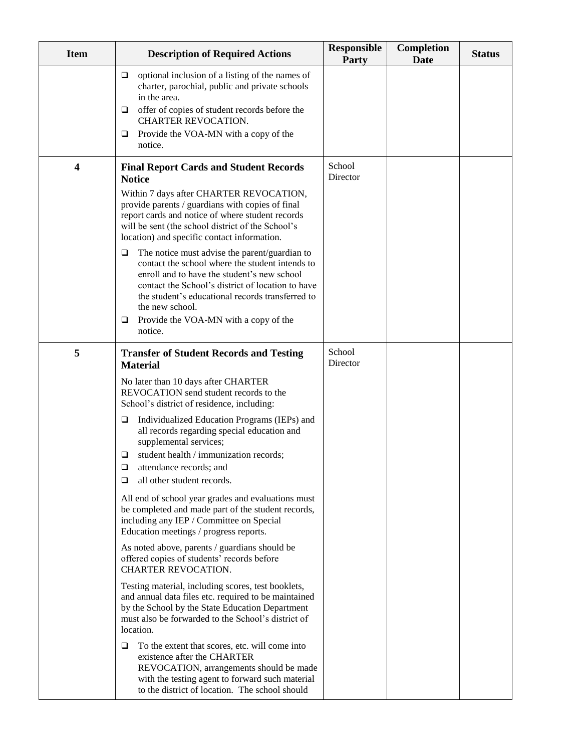| <b>Item</b> | <b>Description of Required Actions</b>                                                                                                                                                                                                                                                                                                    | <b>Responsible</b><br><b>Party</b> | Completion<br><b>Date</b> | <b>Status</b> |
|-------------|-------------------------------------------------------------------------------------------------------------------------------------------------------------------------------------------------------------------------------------------------------------------------------------------------------------------------------------------|------------------------------------|---------------------------|---------------|
|             | optional inclusion of a listing of the names of<br>□<br>charter, parochial, public and private schools<br>in the area.                                                                                                                                                                                                                    |                                    |                           |               |
|             | offer of copies of student records before the<br>❏<br>CHARTER REVOCATION.                                                                                                                                                                                                                                                                 |                                    |                           |               |
|             | Provide the VOA-MN with a copy of the<br>□<br>notice.                                                                                                                                                                                                                                                                                     |                                    |                           |               |
| 4           | <b>Final Report Cards and Student Records</b><br><b>Notice</b>                                                                                                                                                                                                                                                                            | School<br>Director                 |                           |               |
|             | Within 7 days after CHARTER REVOCATION,<br>provide parents / guardians with copies of final<br>report cards and notice of where student records<br>will be sent (the school district of the School's<br>location) and specific contact information.                                                                                       |                                    |                           |               |
|             | The notice must advise the parent/guardian to<br>❏<br>contact the school where the student intends to<br>enroll and to have the student's new school<br>contact the School's district of location to have<br>the student's educational records transferred to<br>the new school.<br>Provide the VOA-MN with a copy of the<br>⊔<br>notice. |                                    |                           |               |
| 5           | <b>Transfer of Student Records and Testing</b><br><b>Material</b>                                                                                                                                                                                                                                                                         | School<br>Director                 |                           |               |
|             | No later than 10 days after CHARTER<br>REVOCATION send student records to the<br>School's district of residence, including:                                                                                                                                                                                                               |                                    |                           |               |
|             | Individualized Education Programs (IEPs) and<br>□<br>all records regarding special education and<br>supplemental services;                                                                                                                                                                                                                |                                    |                           |               |
|             | student health / immunization records;<br>⊔<br>$\Box$                                                                                                                                                                                                                                                                                     |                                    |                           |               |
|             | attendance records; and<br>all other student records.<br>□                                                                                                                                                                                                                                                                                |                                    |                           |               |
|             | All end of school year grades and evaluations must<br>be completed and made part of the student records,<br>including any IEP / Committee on Special<br>Education meetings / progress reports.                                                                                                                                            |                                    |                           |               |
|             | As noted above, parents / guardians should be<br>offered copies of students' records before<br>CHARTER REVOCATION.                                                                                                                                                                                                                        |                                    |                           |               |
|             | Testing material, including scores, test booklets,<br>and annual data files etc. required to be maintained<br>by the School by the State Education Department<br>must also be forwarded to the School's district of<br>location.                                                                                                          |                                    |                           |               |
|             | To the extent that scores, etc. will come into<br>Q<br>existence after the CHARTER<br>REVOCATION, arrangements should be made<br>with the testing agent to forward such material<br>to the district of location. The school should                                                                                                        |                                    |                           |               |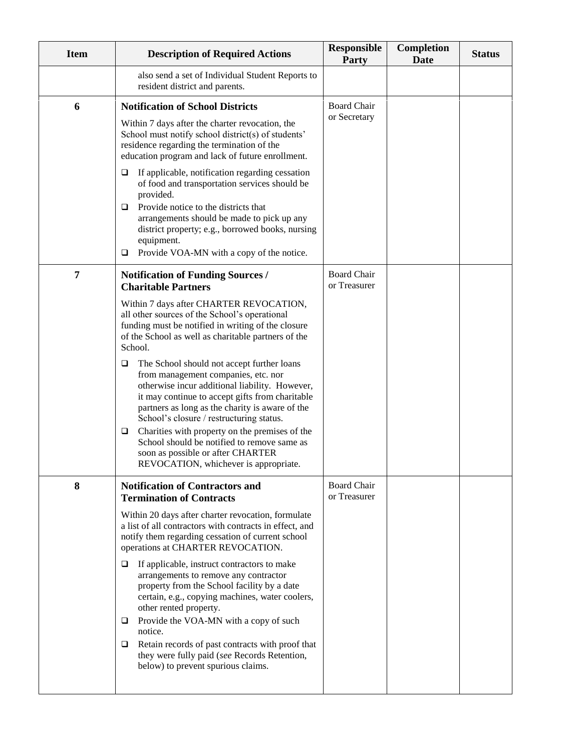| <b>Item</b> | <b>Description of Required Actions</b>                                                                                                                                                                                                                                                                                                                                                                                                | <b>Responsible</b><br><b>Party</b> | <b>Completion</b><br><b>Date</b> | <b>Status</b> |
|-------------|---------------------------------------------------------------------------------------------------------------------------------------------------------------------------------------------------------------------------------------------------------------------------------------------------------------------------------------------------------------------------------------------------------------------------------------|------------------------------------|----------------------------------|---------------|
|             | also send a set of Individual Student Reports to<br>resident district and parents.                                                                                                                                                                                                                                                                                                                                                    |                                    |                                  |               |
| 6           | <b>Notification of School Districts</b>                                                                                                                                                                                                                                                                                                                                                                                               | <b>Board Chair</b>                 |                                  |               |
|             | Within 7 days after the charter revocation, the<br>School must notify school district(s) of students'<br>residence regarding the termination of the<br>education program and lack of future enrollment.                                                                                                                                                                                                                               | or Secretary                       |                                  |               |
|             | If applicable, notification regarding cessation<br>□<br>of food and transportation services should be<br>provided.<br>Provide notice to the districts that<br>□<br>arrangements should be made to pick up any<br>district property; e.g., borrowed books, nursing<br>equipment.<br>Provide VOA-MN with a copy of the notice.<br>❏                                                                                                     |                                    |                                  |               |
| 7           | <b>Notification of Funding Sources /</b><br><b>Charitable Partners</b>                                                                                                                                                                                                                                                                                                                                                                | <b>Board Chair</b><br>or Treasurer |                                  |               |
|             | Within 7 days after CHARTER REVOCATION,<br>all other sources of the School's operational<br>funding must be notified in writing of the closure<br>of the School as well as charitable partners of the<br>School.                                                                                                                                                                                                                      |                                    |                                  |               |
|             | The School should not accept further loans<br>□<br>from management companies, etc. nor<br>otherwise incur additional liability. However,<br>it may continue to accept gifts from charitable<br>partners as long as the charity is aware of the<br>School's closure / restructuring status.<br>Charities with property on the premises of the<br>□<br>School should be notified to remove same as<br>soon as possible or after CHARTER |                                    |                                  |               |
|             | REVOCATION, whichever is appropriate.                                                                                                                                                                                                                                                                                                                                                                                                 |                                    |                                  |               |
| 8           | <b>Notification of Contractors and</b><br><b>Termination of Contracts</b>                                                                                                                                                                                                                                                                                                                                                             | <b>Board Chair</b><br>or Treasurer |                                  |               |
|             | Within 20 days after charter revocation, formulate<br>a list of all contractors with contracts in effect, and<br>notify them regarding cessation of current school<br>operations at CHARTER REVOCATION.                                                                                                                                                                                                                               |                                    |                                  |               |
|             | If applicable, instruct contractors to make<br>□<br>arrangements to remove any contractor<br>property from the School facility by a date<br>certain, e.g., copying machines, water coolers,<br>other rented property.<br>Provide the VOA-MN with a copy of such<br>□<br>notice.                                                                                                                                                       |                                    |                                  |               |
|             | Retain records of past contracts with proof that<br>□<br>they were fully paid (see Records Retention,<br>below) to prevent spurious claims.                                                                                                                                                                                                                                                                                           |                                    |                                  |               |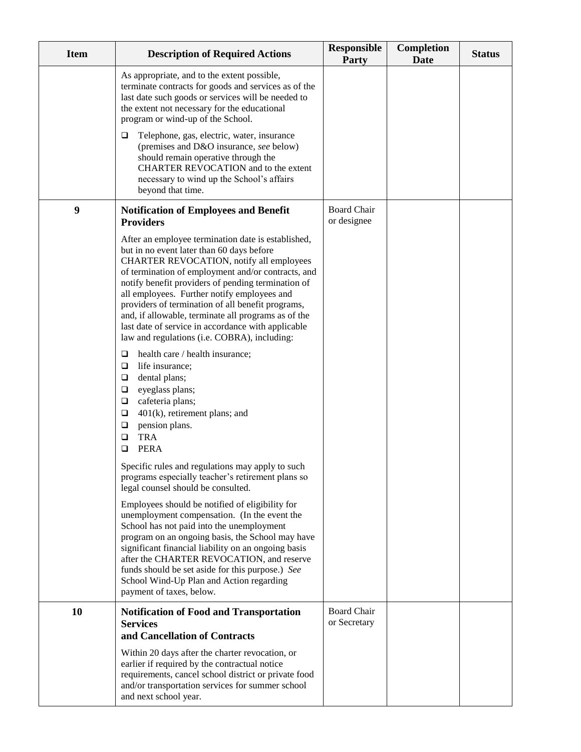| <b>Item</b> | <b>Description of Required Actions</b>                                                                                                                                                                                                                                                                                                                                                                                                                                                                                                                                                                                                                                                                     | <b>Responsible</b><br><b>Party</b> | <b>Completion</b><br><b>Date</b> | <b>Status</b> |
|-------------|------------------------------------------------------------------------------------------------------------------------------------------------------------------------------------------------------------------------------------------------------------------------------------------------------------------------------------------------------------------------------------------------------------------------------------------------------------------------------------------------------------------------------------------------------------------------------------------------------------------------------------------------------------------------------------------------------------|------------------------------------|----------------------------------|---------------|
|             | As appropriate, and to the extent possible,<br>terminate contracts for goods and services as of the<br>last date such goods or services will be needed to<br>the extent not necessary for the educational<br>program or wind-up of the School.                                                                                                                                                                                                                                                                                                                                                                                                                                                             |                                    |                                  |               |
|             | Telephone, gas, electric, water, insurance<br>□<br>(premises and D&O insurance, see below)<br>should remain operative through the<br>CHARTER REVOCATION and to the extent<br>necessary to wind up the School's affairs<br>beyond that time.                                                                                                                                                                                                                                                                                                                                                                                                                                                                |                                    |                                  |               |
| 9           | <b>Notification of Employees and Benefit</b><br><b>Providers</b>                                                                                                                                                                                                                                                                                                                                                                                                                                                                                                                                                                                                                                           | Board Chair<br>or designee         |                                  |               |
|             | After an employee termination date is established,<br>but in no event later than 60 days before<br>CHARTER REVOCATION, notify all employees<br>of termination of employment and/or contracts, and<br>notify benefit providers of pending termination of<br>all employees. Further notify employees and<br>providers of termination of all benefit programs,<br>and, if allowable, terminate all programs as of the<br>last date of service in accordance with applicable<br>law and regulations (i.e. COBRA), including:<br>health care / health insurance;<br>□<br>life insurance;<br>$\Box$<br>dental plans;<br>❏<br>eyeglass plans;<br>Q<br>cafeteria plans;<br>❏<br>401(k), retirement plans; and<br>❏ |                                    |                                  |               |
|             | pension plans.<br>❏<br><b>TRA</b><br>❏<br><b>PERA</b><br>❏                                                                                                                                                                                                                                                                                                                                                                                                                                                                                                                                                                                                                                                 |                                    |                                  |               |
|             | Specific rules and regulations may apply to such<br>programs especially teacher's retirement plans so<br>legal counsel should be consulted.                                                                                                                                                                                                                                                                                                                                                                                                                                                                                                                                                                |                                    |                                  |               |
|             | Employees should be notified of eligibility for<br>unemployment compensation. (In the event the<br>School has not paid into the unemployment<br>program on an ongoing basis, the School may have<br>significant financial liability on an ongoing basis<br>after the CHARTER REVOCATION, and reserve<br>funds should be set aside for this purpose.) See<br>School Wind-Up Plan and Action regarding<br>payment of taxes, below.                                                                                                                                                                                                                                                                           |                                    |                                  |               |
| 10          | <b>Notification of Food and Transportation</b><br><b>Services</b><br>and Cancellation of Contracts                                                                                                                                                                                                                                                                                                                                                                                                                                                                                                                                                                                                         | <b>Board Chair</b><br>or Secretary |                                  |               |
|             | Within 20 days after the charter revocation, or<br>earlier if required by the contractual notice<br>requirements, cancel school district or private food<br>and/or transportation services for summer school<br>and next school year.                                                                                                                                                                                                                                                                                                                                                                                                                                                                      |                                    |                                  |               |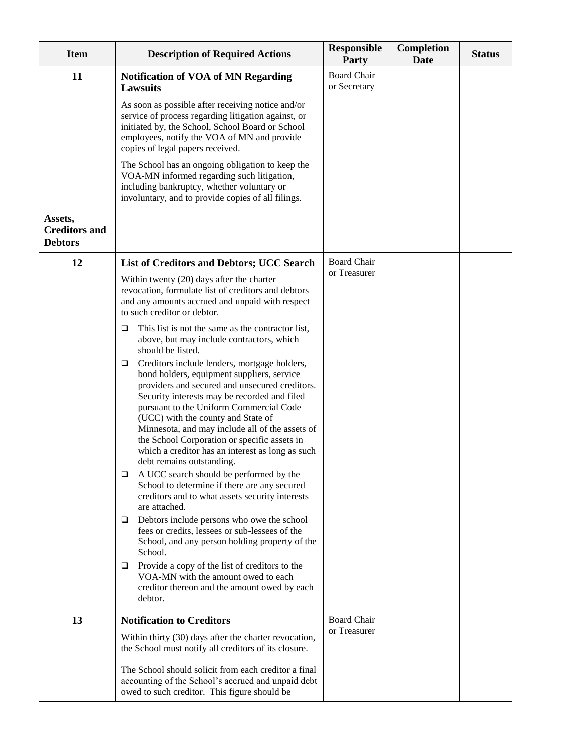| <b>Item</b>                                       | <b>Description of Required Actions</b>                                                                                                                                                                                                                                                                                                                                                                                                                                                                                                                                                                                                                                                                                                                                                                                                                                                                                                                                                                                                                                                            | <b>Responsible</b><br><b>Party</b> | <b>Completion</b><br><b>Date</b> | <b>Status</b> |
|---------------------------------------------------|---------------------------------------------------------------------------------------------------------------------------------------------------------------------------------------------------------------------------------------------------------------------------------------------------------------------------------------------------------------------------------------------------------------------------------------------------------------------------------------------------------------------------------------------------------------------------------------------------------------------------------------------------------------------------------------------------------------------------------------------------------------------------------------------------------------------------------------------------------------------------------------------------------------------------------------------------------------------------------------------------------------------------------------------------------------------------------------------------|------------------------------------|----------------------------------|---------------|
| 11                                                | <b>Notification of VOA of MN Regarding</b><br><b>Lawsuits</b>                                                                                                                                                                                                                                                                                                                                                                                                                                                                                                                                                                                                                                                                                                                                                                                                                                                                                                                                                                                                                                     | <b>Board Chair</b><br>or Secretary |                                  |               |
|                                                   | As soon as possible after receiving notice and/or<br>service of process regarding litigation against, or<br>initiated by, the School, School Board or School<br>employees, notify the VOA of MN and provide<br>copies of legal papers received.                                                                                                                                                                                                                                                                                                                                                                                                                                                                                                                                                                                                                                                                                                                                                                                                                                                   |                                    |                                  |               |
|                                                   | The School has an ongoing obligation to keep the<br>VOA-MN informed regarding such litigation,<br>including bankruptcy, whether voluntary or<br>involuntary, and to provide copies of all filings.                                                                                                                                                                                                                                                                                                                                                                                                                                                                                                                                                                                                                                                                                                                                                                                                                                                                                                |                                    |                                  |               |
| Assets,<br><b>Creditors and</b><br><b>Debtors</b> |                                                                                                                                                                                                                                                                                                                                                                                                                                                                                                                                                                                                                                                                                                                                                                                                                                                                                                                                                                                                                                                                                                   |                                    |                                  |               |
| 12                                                | <b>List of Creditors and Debtors; UCC Search</b>                                                                                                                                                                                                                                                                                                                                                                                                                                                                                                                                                                                                                                                                                                                                                                                                                                                                                                                                                                                                                                                  | <b>Board Chair</b>                 |                                  |               |
|                                                   | Within twenty (20) days after the charter<br>revocation, formulate list of creditors and debtors<br>and any amounts accrued and unpaid with respect<br>to such creditor or debtor.                                                                                                                                                                                                                                                                                                                                                                                                                                                                                                                                                                                                                                                                                                                                                                                                                                                                                                                | or Treasurer                       |                                  |               |
|                                                   | This list is not the same as the contractor list,<br>□<br>above, but may include contractors, which<br>should be listed.<br>Creditors include lenders, mortgage holders,<br>□<br>bond holders, equipment suppliers, service<br>providers and secured and unsecured creditors.<br>Security interests may be recorded and filed<br>pursuant to the Uniform Commercial Code<br>(UCC) with the county and State of<br>Minnesota, and may include all of the assets of<br>the School Corporation or specific assets in<br>which a creditor has an interest as long as such<br>debt remains outstanding.<br>A UCC search should be performed by the<br>O<br>School to determine if there are any secured<br>creditors and to what assets security interests<br>are attached.<br>Debtors include persons who owe the school<br>⊔<br>fees or credits, lessees or sub-lessees of the<br>School, and any person holding property of the<br>School.<br>Provide a copy of the list of creditors to the<br>□<br>VOA-MN with the amount owed to each<br>creditor thereon and the amount owed by each<br>debtor. |                                    |                                  |               |
| 13                                                | <b>Notification to Creditors</b>                                                                                                                                                                                                                                                                                                                                                                                                                                                                                                                                                                                                                                                                                                                                                                                                                                                                                                                                                                                                                                                                  | <b>Board Chair</b>                 |                                  |               |
|                                                   | Within thirty (30) days after the charter revocation,<br>the School must notify all creditors of its closure.                                                                                                                                                                                                                                                                                                                                                                                                                                                                                                                                                                                                                                                                                                                                                                                                                                                                                                                                                                                     | or Treasurer                       |                                  |               |
|                                                   | The School should solicit from each creditor a final<br>accounting of the School's accrued and unpaid debt<br>owed to such creditor. This figure should be                                                                                                                                                                                                                                                                                                                                                                                                                                                                                                                                                                                                                                                                                                                                                                                                                                                                                                                                        |                                    |                                  |               |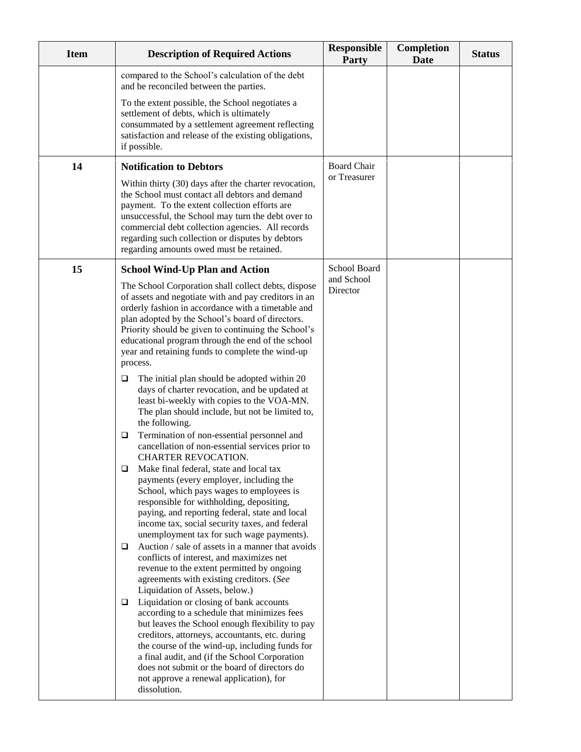| <b>Item</b> | <b>Description of Required Actions</b>                                                                                                                                                                                                                                                                                                                                                                         | <b>Responsible</b><br>Party        | Completion<br>Date | <b>Status</b> |
|-------------|----------------------------------------------------------------------------------------------------------------------------------------------------------------------------------------------------------------------------------------------------------------------------------------------------------------------------------------------------------------------------------------------------------------|------------------------------------|--------------------|---------------|
|             | compared to the School's calculation of the debt<br>and be reconciled between the parties.                                                                                                                                                                                                                                                                                                                     |                                    |                    |               |
|             | To the extent possible, the School negotiates a<br>settlement of debts, which is ultimately<br>consummated by a settlement agreement reflecting<br>satisfaction and release of the existing obligations,<br>if possible.                                                                                                                                                                                       |                                    |                    |               |
| 14          | <b>Notification to Debtors</b>                                                                                                                                                                                                                                                                                                                                                                                 | <b>Board Chair</b><br>or Treasurer |                    |               |
|             | Within thirty (30) days after the charter revocation,<br>the School must contact all debtors and demand<br>payment. To the extent collection efforts are<br>unsuccessful, the School may turn the debt over to<br>commercial debt collection agencies. All records<br>regarding such collection or disputes by debtors<br>regarding amounts owed must be retained.                                             |                                    |                    |               |
| 15          | <b>School Wind-Up Plan and Action</b>                                                                                                                                                                                                                                                                                                                                                                          | School Board<br>and School         |                    |               |
|             | The School Corporation shall collect debts, dispose<br>of assets and negotiate with and pay creditors in an<br>orderly fashion in accordance with a timetable and<br>plan adopted by the School's board of directors.<br>Priority should be given to continuing the School's<br>educational program through the end of the school<br>year and retaining funds to complete the wind-up<br>process.              | Director                           |                    |               |
|             | The initial plan should be adopted within 20<br>□<br>days of charter revocation, and be updated at<br>least bi-weekly with copies to the VOA-MN.<br>The plan should include, but not be limited to,<br>the following.                                                                                                                                                                                          |                                    |                    |               |
|             | Termination of non-essential personnel and<br>□<br>cancellation of non-essential services prior to<br>CHARTER REVOCATION.                                                                                                                                                                                                                                                                                      |                                    |                    |               |
|             | Make final federal, state and local tax<br>□<br>payments (every employer, including the<br>School, which pays wages to employees is<br>responsible for withholding, depositing,<br>paying, and reporting federal, state and local<br>income tax, social security taxes, and federal<br>unemployment tax for such wage payments).                                                                               |                                    |                    |               |
|             | Auction / sale of assets in a manner that avoids<br>$\Box$<br>conflicts of interest, and maximizes net<br>revenue to the extent permitted by ongoing<br>agreements with existing creditors. (See<br>Liquidation of Assets, below.)                                                                                                                                                                             |                                    |                    |               |
|             | Liquidation or closing of bank accounts<br>□<br>according to a schedule that minimizes fees<br>but leaves the School enough flexibility to pay<br>creditors, attorneys, accountants, etc. during<br>the course of the wind-up, including funds for<br>a final audit, and (if the School Corporation<br>does not submit or the board of directors do<br>not approve a renewal application), for<br>dissolution. |                                    |                    |               |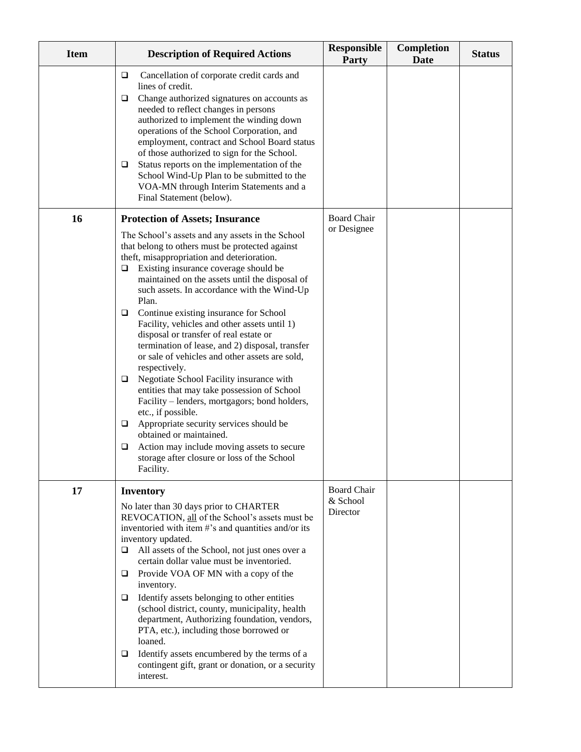| <b>Item</b> | <b>Description of Required Actions</b>                                                                                                                                                                                                                                                                                                                                                                                                                                                                                                                                                                                                                                                                                                                                                                                                                                                                                                                                                             | <b>Responsible</b><br><b>Party</b>         | <b>Completion</b><br><b>Date</b> | <b>Status</b> |
|-------------|----------------------------------------------------------------------------------------------------------------------------------------------------------------------------------------------------------------------------------------------------------------------------------------------------------------------------------------------------------------------------------------------------------------------------------------------------------------------------------------------------------------------------------------------------------------------------------------------------------------------------------------------------------------------------------------------------------------------------------------------------------------------------------------------------------------------------------------------------------------------------------------------------------------------------------------------------------------------------------------------------|--------------------------------------------|----------------------------------|---------------|
|             | Cancellation of corporate credit cards and<br>$\Box$<br>lines of credit.<br>Change authorized signatures on accounts as<br>$\Box$<br>needed to reflect changes in persons<br>authorized to implement the winding down<br>operations of the School Corporation, and<br>employment, contract and School Board status<br>of those authorized to sign for the School.<br>Status reports on the implementation of the<br>□<br>School Wind-Up Plan to be submitted to the<br>VOA-MN through Interim Statements and a<br>Final Statement (below).                                                                                                                                                                                                                                                                                                                                                                                                                                                         |                                            |                                  |               |
| 16          | <b>Protection of Assets; Insurance</b><br>The School's assets and any assets in the School<br>that belong to others must be protected against<br>theft, misappropriation and deterioration.<br>Existing insurance coverage should be<br>□<br>maintained on the assets until the disposal of<br>such assets. In accordance with the Wind-Up<br>Plan.<br>Continue existing insurance for School<br>$\Box$<br>Facility, vehicles and other assets until 1)<br>disposal or transfer of real estate or<br>termination of lease, and 2) disposal, transfer<br>or sale of vehicles and other assets are sold,<br>respectively.<br>Negotiate School Facility insurance with<br>$\Box$<br>entities that may take possession of School<br>Facility – lenders, mortgagors; bond holders,<br>etc., if possible.<br>Appropriate security services should be<br>$\Box$<br>obtained or maintained.<br>Action may include moving assets to secure<br>❏<br>storage after closure or loss of the School<br>Facility. | <b>Board Chair</b><br>or Designee          |                                  |               |
| 17          | <b>Inventory</b><br>No later than 30 days prior to CHARTER<br>REVOCATION, all of the School's assets must be<br>inventoried with item #'s and quantities and/or its<br>inventory updated.<br>All assets of the School, not just ones over a<br>$\Box$<br>certain dollar value must be inventoried.<br>Provide VOA OF MN with a copy of the<br>□.<br>inventory.<br>Identify assets belonging to other entities<br>$\Box$<br>(school district, county, municipality, health<br>department, Authorizing foundation, vendors,<br>PTA, etc.), including those borrowed or<br>loaned.<br>Identify assets encumbered by the terms of a<br>contingent gift, grant or donation, or a security<br>interest.                                                                                                                                                                                                                                                                                                  | <b>Board Chair</b><br>& School<br>Director |                                  |               |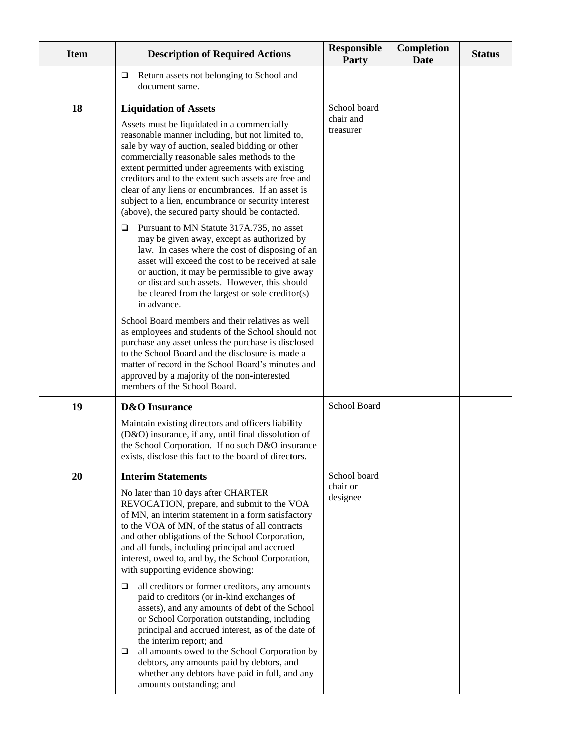| <b>Item</b> | <b>Description of Required Actions</b>                                                                                                                                                                                                                                                                                                                                                                                                                                                                                                                                                                                                                                                                                                                                                                                                                                                            | <b>Responsible</b><br>Party            | <b>Completion</b><br><b>Date</b> | <b>Status</b> |
|-------------|---------------------------------------------------------------------------------------------------------------------------------------------------------------------------------------------------------------------------------------------------------------------------------------------------------------------------------------------------------------------------------------------------------------------------------------------------------------------------------------------------------------------------------------------------------------------------------------------------------------------------------------------------------------------------------------------------------------------------------------------------------------------------------------------------------------------------------------------------------------------------------------------------|----------------------------------------|----------------------------------|---------------|
|             | Return assets not belonging to School and<br>□<br>document same.                                                                                                                                                                                                                                                                                                                                                                                                                                                                                                                                                                                                                                                                                                                                                                                                                                  |                                        |                                  |               |
| 18          | <b>Liquidation of Assets</b><br>Assets must be liquidated in a commercially<br>reasonable manner including, but not limited to,<br>sale by way of auction, sealed bidding or other<br>commercially reasonable sales methods to the<br>extent permitted under agreements with existing<br>creditors and to the extent such assets are free and<br>clear of any liens or encumbrances. If an asset is<br>subject to a lien, encumbrance or security interest<br>(above), the secured party should be contacted.<br>Pursuant to MN Statute 317A.735, no asset<br>□<br>may be given away, except as authorized by<br>law. In cases where the cost of disposing of an<br>asset will exceed the cost to be received at sale<br>or auction, it may be permissible to give away<br>or discard such assets. However, this should                                                                           | School board<br>chair and<br>treasurer |                                  |               |
|             | be cleared from the largest or sole creditor(s)<br>in advance.<br>School Board members and their relatives as well<br>as employees and students of the School should not<br>purchase any asset unless the purchase is disclosed<br>to the School Board and the disclosure is made a<br>matter of record in the School Board's minutes and<br>approved by a majority of the non-interested<br>members of the School Board.                                                                                                                                                                                                                                                                                                                                                                                                                                                                         |                                        |                                  |               |
| 19          | <b>D&amp;O</b> Insurance<br>Maintain existing directors and officers liability<br>(D&O) insurance, if any, until final dissolution of<br>the School Corporation. If no such D&O insurance<br>exists, disclose this fact to the board of directors.                                                                                                                                                                                                                                                                                                                                                                                                                                                                                                                                                                                                                                                | School Board                           |                                  |               |
| 20          | <b>Interim Statements</b><br>No later than 10 days after CHARTER<br>REVOCATION, prepare, and submit to the VOA<br>of MN, an interim statement in a form satisfactory<br>to the VOA of MN, of the status of all contracts<br>and other obligations of the School Corporation,<br>and all funds, including principal and accrued<br>interest, owed to, and by, the School Corporation,<br>with supporting evidence showing:<br>all creditors or former creditors, any amounts<br>□<br>paid to creditors (or in-kind exchanges of<br>assets), and any amounts of debt of the School<br>or School Corporation outstanding, including<br>principal and accrued interest, as of the date of<br>the interim report; and<br>all amounts owed to the School Corporation by<br>□<br>debtors, any amounts paid by debtors, and<br>whether any debtors have paid in full, and any<br>amounts outstanding; and | School board<br>chair or<br>designee   |                                  |               |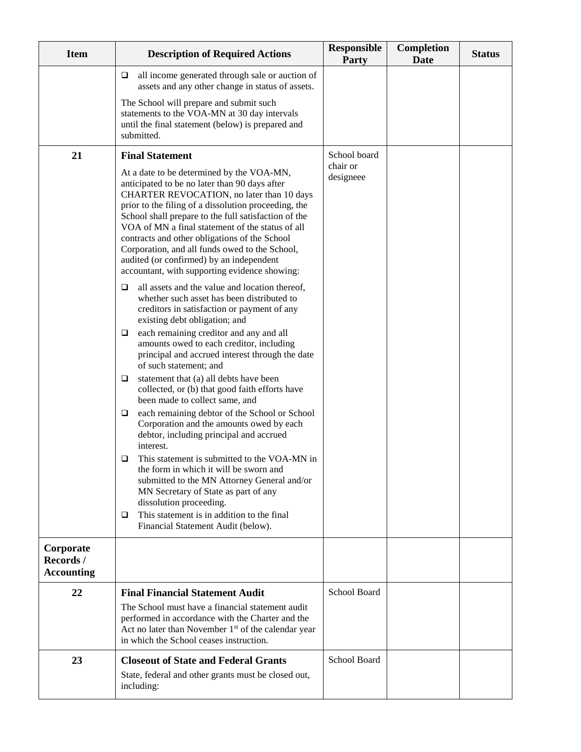| <b>Item</b>                                | <b>Description of Required Actions</b>                                                                                                                                                                                                                                                                                                                                                                                                                                                                      | <b>Responsible</b><br><b>Party</b> | <b>Completion</b><br><b>Date</b> | <b>Status</b> |
|--------------------------------------------|-------------------------------------------------------------------------------------------------------------------------------------------------------------------------------------------------------------------------------------------------------------------------------------------------------------------------------------------------------------------------------------------------------------------------------------------------------------------------------------------------------------|------------------------------------|----------------------------------|---------------|
|                                            | all income generated through sale or auction of<br>□<br>assets and any other change in status of assets.                                                                                                                                                                                                                                                                                                                                                                                                    |                                    |                                  |               |
|                                            | The School will prepare and submit such<br>statements to the VOA-MN at 30 day intervals<br>until the final statement (below) is prepared and<br>submitted.                                                                                                                                                                                                                                                                                                                                                  |                                    |                                  |               |
| 21                                         | <b>Final Statement</b>                                                                                                                                                                                                                                                                                                                                                                                                                                                                                      | School board<br>chair or           |                                  |               |
|                                            | At a date to be determined by the VOA-MN,<br>anticipated to be no later than 90 days after<br>CHARTER REVOCATION, no later than 10 days<br>prior to the filing of a dissolution proceeding, the<br>School shall prepare to the full satisfaction of the<br>VOA of MN a final statement of the status of all<br>contracts and other obligations of the School<br>Corporation, and all funds owed to the School,<br>audited (or confirmed) by an independent<br>accountant, with supporting evidence showing: | designeee                          |                                  |               |
|                                            | all assets and the value and location thereof,<br>$\Box$<br>whether such asset has been distributed to<br>creditors in satisfaction or payment of any<br>existing debt obligation; and                                                                                                                                                                                                                                                                                                                      |                                    |                                  |               |
|                                            | each remaining creditor and any and all<br>⊔<br>amounts owed to each creditor, including<br>principal and accrued interest through the date<br>of such statement; and                                                                                                                                                                                                                                                                                                                                       |                                    |                                  |               |
|                                            | statement that (a) all debts have been<br>⊔<br>collected, or (b) that good faith efforts have<br>been made to collect same, and                                                                                                                                                                                                                                                                                                                                                                             |                                    |                                  |               |
|                                            | each remaining debtor of the School or School<br>$\Box$<br>Corporation and the amounts owed by each<br>debtor, including principal and accrued<br>interest.                                                                                                                                                                                                                                                                                                                                                 |                                    |                                  |               |
|                                            | This statement is submitted to the VOA-MN in<br>❏<br>the form in which it will be sworn and<br>submitted to the MN Attorney General and/or<br>MN Secretary of State as part of any<br>dissolution proceeding.                                                                                                                                                                                                                                                                                               |                                    |                                  |               |
|                                            | This statement is in addition to the final<br>Q<br>Financial Statement Audit (below).                                                                                                                                                                                                                                                                                                                                                                                                                       |                                    |                                  |               |
| Corporate<br>Records/<br><b>Accounting</b> |                                                                                                                                                                                                                                                                                                                                                                                                                                                                                                             |                                    |                                  |               |
| 22                                         | <b>Final Financial Statement Audit</b>                                                                                                                                                                                                                                                                                                                                                                                                                                                                      | School Board                       |                                  |               |
|                                            | The School must have a financial statement audit<br>performed in accordance with the Charter and the<br>Act no later than November $1st$ of the calendar year<br>in which the School ceases instruction.                                                                                                                                                                                                                                                                                                    |                                    |                                  |               |
| 23                                         | <b>Closeout of State and Federal Grants</b>                                                                                                                                                                                                                                                                                                                                                                                                                                                                 | School Board                       |                                  |               |
|                                            | State, federal and other grants must be closed out,<br>including:                                                                                                                                                                                                                                                                                                                                                                                                                                           |                                    |                                  |               |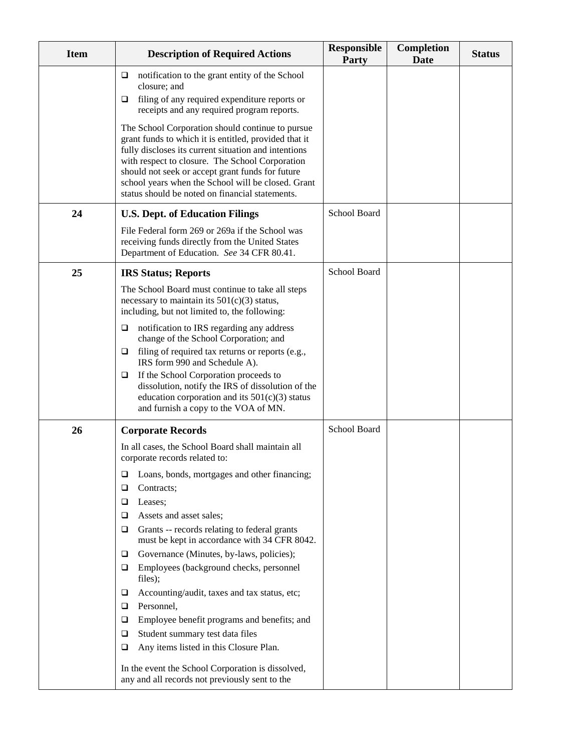| <b>Item</b> | <b>Description of Required Actions</b>                                                                                                                                                                                                                                                                                                                                            | <b>Responsible</b><br>Party | <b>Completion</b><br><b>Date</b> | <b>Status</b> |
|-------------|-----------------------------------------------------------------------------------------------------------------------------------------------------------------------------------------------------------------------------------------------------------------------------------------------------------------------------------------------------------------------------------|-----------------------------|----------------------------------|---------------|
|             | notification to the grant entity of the School<br>□<br>closure; and<br>filing of any required expenditure reports or<br>□<br>receipts and any required program reports.                                                                                                                                                                                                           |                             |                                  |               |
|             | The School Corporation should continue to pursue<br>grant funds to which it is entitled, provided that it<br>fully discloses its current situation and intentions<br>with respect to closure. The School Corporation<br>should not seek or accept grant funds for future<br>school years when the School will be closed. Grant<br>status should be noted on financial statements. |                             |                                  |               |
| 24          | <b>U.S. Dept. of Education Filings</b>                                                                                                                                                                                                                                                                                                                                            | School Board                |                                  |               |
|             | File Federal form 269 or 269a if the School was<br>receiving funds directly from the United States<br>Department of Education. See 34 CFR 80.41.                                                                                                                                                                                                                                  |                             |                                  |               |
| 25          | <b>IRS Status; Reports</b>                                                                                                                                                                                                                                                                                                                                                        | School Board                |                                  |               |
|             | The School Board must continue to take all steps<br>necessary to maintain its $501(c)(3)$ status,<br>including, but not limited to, the following:                                                                                                                                                                                                                                |                             |                                  |               |
|             | notification to IRS regarding any address<br>$\Box$<br>change of the School Corporation; and                                                                                                                                                                                                                                                                                      |                             |                                  |               |
|             | filing of required tax returns or reports (e.g.,<br>□<br>IRS form 990 and Schedule A).                                                                                                                                                                                                                                                                                            |                             |                                  |               |
|             | If the School Corporation proceeds to<br>□<br>dissolution, notify the IRS of dissolution of the<br>education corporation and its $501(c)(3)$ status<br>and furnish a copy to the VOA of MN.                                                                                                                                                                                       |                             |                                  |               |
| 26          | <b>Corporate Records</b>                                                                                                                                                                                                                                                                                                                                                          | <b>School Board</b>         |                                  |               |
|             | In all cases, the School Board shall maintain all<br>corporate records related to:                                                                                                                                                                                                                                                                                                |                             |                                  |               |
|             | Loans, bonds, mortgages and other financing;<br>⊔<br>Contracts;<br>⊔                                                                                                                                                                                                                                                                                                              |                             |                                  |               |
|             | Leases;<br>⊔                                                                                                                                                                                                                                                                                                                                                                      |                             |                                  |               |
|             | Assets and asset sales;<br>❏                                                                                                                                                                                                                                                                                                                                                      |                             |                                  |               |
|             | Grants -- records relating to federal grants<br>□<br>must be kept in accordance with 34 CFR 8042.                                                                                                                                                                                                                                                                                 |                             |                                  |               |
|             | Governance (Minutes, by-laws, policies);<br>⊔                                                                                                                                                                                                                                                                                                                                     |                             |                                  |               |
|             | Employees (background checks, personnel<br>□<br>files);                                                                                                                                                                                                                                                                                                                           |                             |                                  |               |
|             | Accounting/audit, taxes and tax status, etc;<br>⊔                                                                                                                                                                                                                                                                                                                                 |                             |                                  |               |
|             | Personnel,<br>□<br>Employee benefit programs and benefits; and<br>□                                                                                                                                                                                                                                                                                                               |                             |                                  |               |
|             | Student summary test data files<br>□                                                                                                                                                                                                                                                                                                                                              |                             |                                  |               |
|             | Any items listed in this Closure Plan.<br>❏                                                                                                                                                                                                                                                                                                                                       |                             |                                  |               |
|             | In the event the School Corporation is dissolved,<br>any and all records not previously sent to the                                                                                                                                                                                                                                                                               |                             |                                  |               |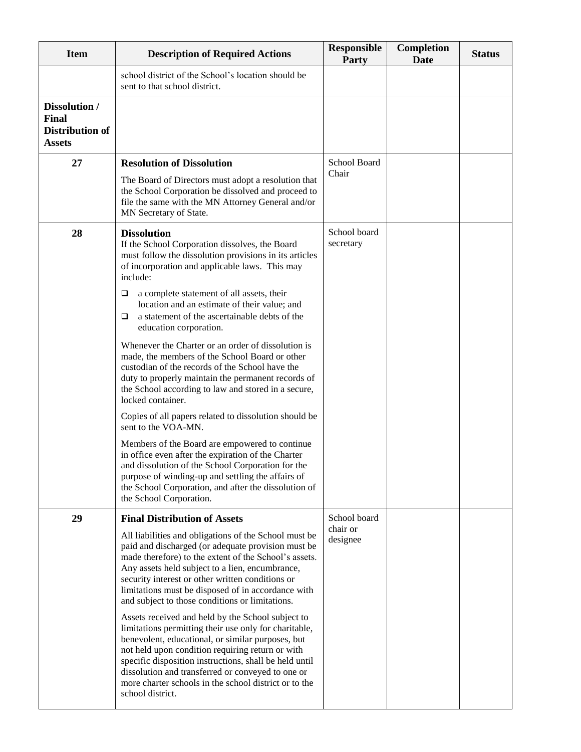| <b>Item</b>                                                | <b>Description of Required Actions</b>                                                                                                                                                                                                                                                                                                                                                                          | <b>Responsible</b><br><b>Party</b> | <b>Completion</b><br><b>Date</b> | <b>Status</b> |
|------------------------------------------------------------|-----------------------------------------------------------------------------------------------------------------------------------------------------------------------------------------------------------------------------------------------------------------------------------------------------------------------------------------------------------------------------------------------------------------|------------------------------------|----------------------------------|---------------|
|                                                            | school district of the School's location should be<br>sent to that school district.                                                                                                                                                                                                                                                                                                                             |                                    |                                  |               |
| Dissolution /<br>Final<br>Distribution of<br><b>Assets</b> |                                                                                                                                                                                                                                                                                                                                                                                                                 |                                    |                                  |               |
| 27                                                         | <b>Resolution of Dissolution</b>                                                                                                                                                                                                                                                                                                                                                                                | School Board<br>Chair              |                                  |               |
|                                                            | The Board of Directors must adopt a resolution that<br>the School Corporation be dissolved and proceed to<br>file the same with the MN Attorney General and/or<br>MN Secretary of State.                                                                                                                                                                                                                        |                                    |                                  |               |
| 28                                                         | <b>Dissolution</b><br>If the School Corporation dissolves, the Board<br>must follow the dissolution provisions in its articles<br>of incorporation and applicable laws. This may<br>include:                                                                                                                                                                                                                    | School board<br>secretary          |                                  |               |
|                                                            | a complete statement of all assets, their<br>⊔<br>location and an estimate of their value; and<br>a statement of the ascertainable debts of the<br>□<br>education corporation.                                                                                                                                                                                                                                  |                                    |                                  |               |
|                                                            | Whenever the Charter or an order of dissolution is<br>made, the members of the School Board or other<br>custodian of the records of the School have the<br>duty to properly maintain the permanent records of<br>the School according to law and stored in a secure,<br>locked container.                                                                                                                       |                                    |                                  |               |
|                                                            | Copies of all papers related to dissolution should be<br>sent to the VOA-MN.                                                                                                                                                                                                                                                                                                                                    |                                    |                                  |               |
|                                                            | Members of the Board are empowered to continue<br>in office even after the expiration of the Charter<br>and dissolution of the School Corporation for the<br>purpose of winding-up and settling the affairs of<br>the School Corporation, and after the dissolution of<br>the School Corporation.                                                                                                               |                                    |                                  |               |
| 29                                                         | <b>Final Distribution of Assets</b>                                                                                                                                                                                                                                                                                                                                                                             | School board                       |                                  |               |
|                                                            | All liabilities and obligations of the School must be<br>paid and discharged (or adequate provision must be<br>made therefore) to the extent of the School's assets.<br>Any assets held subject to a lien, encumbrance,<br>security interest or other written conditions or<br>limitations must be disposed of in accordance with<br>and subject to those conditions or limitations.                            | chair or<br>designee               |                                  |               |
|                                                            | Assets received and held by the School subject to<br>limitations permitting their use only for charitable,<br>benevolent, educational, or similar purposes, but<br>not held upon condition requiring return or with<br>specific disposition instructions, shall be held until<br>dissolution and transferred or conveyed to one or<br>more charter schools in the school district or to the<br>school district. |                                    |                                  |               |